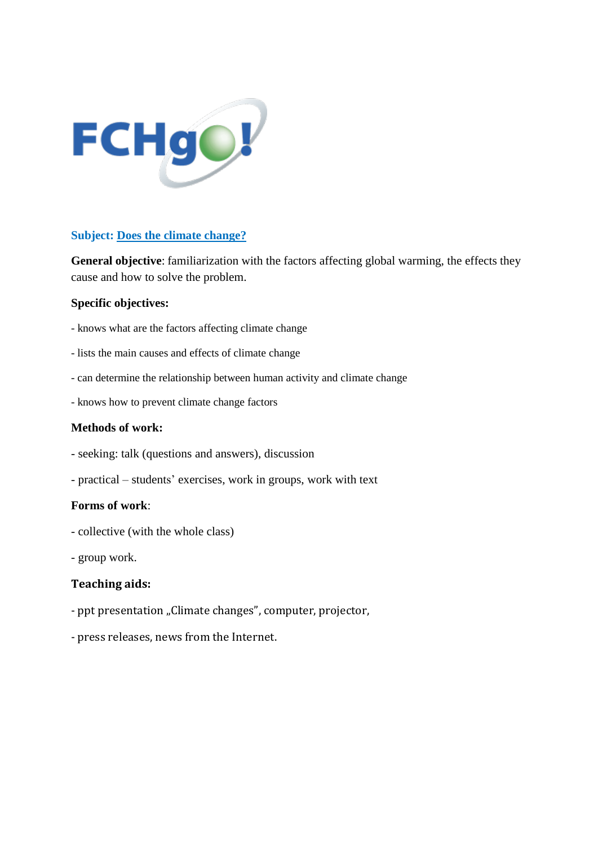

## **Subject: Does the climate change?**

**General objective**: familiarization with the factors affecting global warming, the effects they cause and how to solve the problem.

#### **Specific objectives:**

- knows what are the factors affecting climate change
- lists the main causes and effects of climate change
- can determine the relationship between human activity and climate change
- knows how to prevent climate change factors

### **Methods of work:**

- seeking: talk (questions and answers), discussion
- practical students' exercises, work in groups, work with text

#### **Forms of work**:

- collective (with the whole class)
- group work.

#### **Teaching aids:**

- ppt presentation "Climate changes", computer, projector,
- press releases, news from the Internet.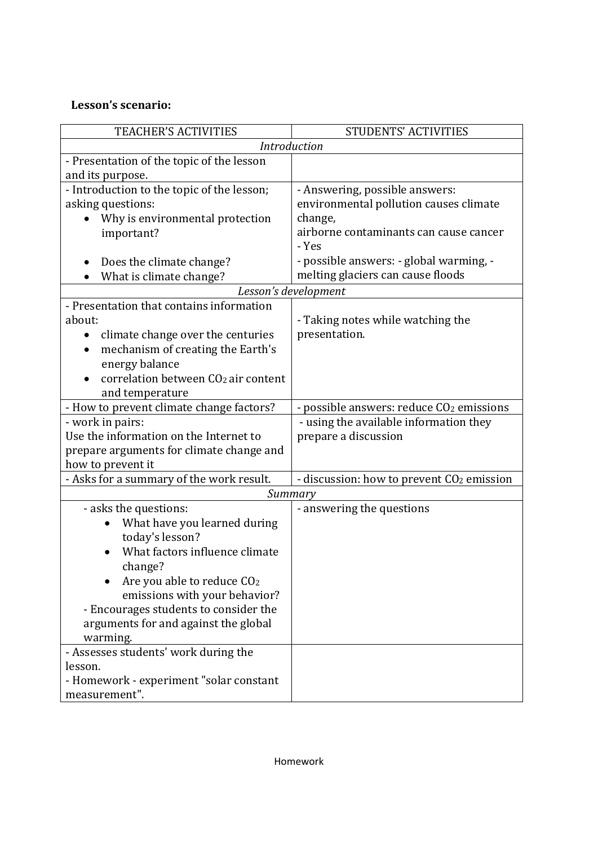# **Lesson's scenario:**

| TEACHER'S ACTIVITIES                            | <b>STUDENTS' ACTIVITIES</b>                           |
|-------------------------------------------------|-------------------------------------------------------|
| Introduction                                    |                                                       |
| - Presentation of the topic of the lesson       |                                                       |
| and its purpose.                                |                                                       |
| - Introduction to the topic of the lesson;      | - Answering, possible answers:                        |
| asking questions:                               | environmental pollution causes climate                |
| Why is environmental protection                 | change,                                               |
| important?                                      | airborne contaminants can cause cancer                |
|                                                 | - Yes                                                 |
| Does the climate change?                        | - possible answers: - global warming, -               |
| What is climate change?                         | melting glaciers can cause floods                     |
| Lesson's development                            |                                                       |
| - Presentation that contains information        |                                                       |
| about:                                          | - Taking notes while watching the                     |
| climate change over the centuries<br>$\bullet$  | presentation.                                         |
| mechanism of creating the Earth's               |                                                       |
| energy balance                                  |                                                       |
| correlation between CO <sub>2</sub> air content |                                                       |
| and temperature                                 |                                                       |
| - How to prevent climate change factors?        | - possible answers: reduce CO <sub>2</sub> emissions  |
| - work in pairs:                                | - using the available information they                |
| Use the information on the Internet to          | prepare a discussion                                  |
| prepare arguments for climate change and        |                                                       |
| how to prevent it                               |                                                       |
| - Asks for a summary of the work result.        | - discussion: how to prevent CO <sub>2</sub> emission |
| Summary                                         |                                                       |
| - asks the questions:                           | - answering the questions                             |
| What have you learned during                    |                                                       |
| today's lesson?                                 |                                                       |
| What factors influence climate                  |                                                       |
| change?                                         |                                                       |
| Are you able to reduce CO <sub>2</sub>          |                                                       |
| emissions with your behavior?                   |                                                       |
| - Encourages students to consider the           |                                                       |
| arguments for and against the global            |                                                       |
| warming.                                        |                                                       |
| - Assesses students' work during the            |                                                       |
| lesson.                                         |                                                       |
| - Homework - experiment "solar constant         |                                                       |
| measurement".                                   |                                                       |